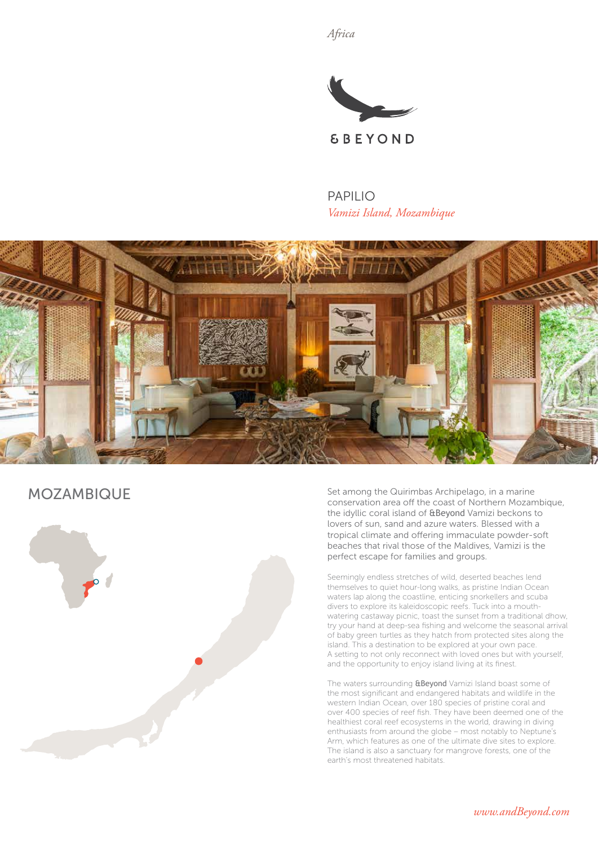*Africa*



PAPILIO *Vamizi Island, Mozambique*



MOZAMBIQUE



Set among the Quirimbas Archipelago, in a marine conservation area off the coast of Northern Mozambique, the idyllic coral island of &Beyond Vamizi beckons to lovers of sun, sand and azure waters. Blessed with a tropical climate and offering immaculate powder-soft beaches that rival those of the Maldives, Vamizi is the perfect escape for families and groups.

Seemingly endless stretches of wild, deserted beaches lend themselves to quiet hour-long walks, as pristine Indian Ocean waters lap along the coastline, enticing snorkellers and scuba divers to explore its kaleidoscopic reefs. Tuck into a mouthwatering castaway picnic, toast the sunset from a traditional dhow, try your hand at deep-sea fishing and welcome the seasonal arrival of baby green turtles as they hatch from protected sites along the island. This a destination to be explored at your own pace. A setting to not only reconnect with loved ones but with yourself, and the opportunity to enjoy island living at its finest.

The waters surrounding **&Beyond** Vamizi Island boast some of the most significant and endangered habitats and wildlife in the western Indian Ocean, over 180 species of pristine coral and over 400 species of reef fish. They have been deemed one of the healthiest coral reef ecosystems in the world, drawing in diving enthusiasts from around the globe – most notably to Neptune's Arm, which features as one of the ultimate dive sites to explore. The island is also a sanctuary for mangrove forests, one of the earth's most threatened habitats.

*www.andBeyond.com*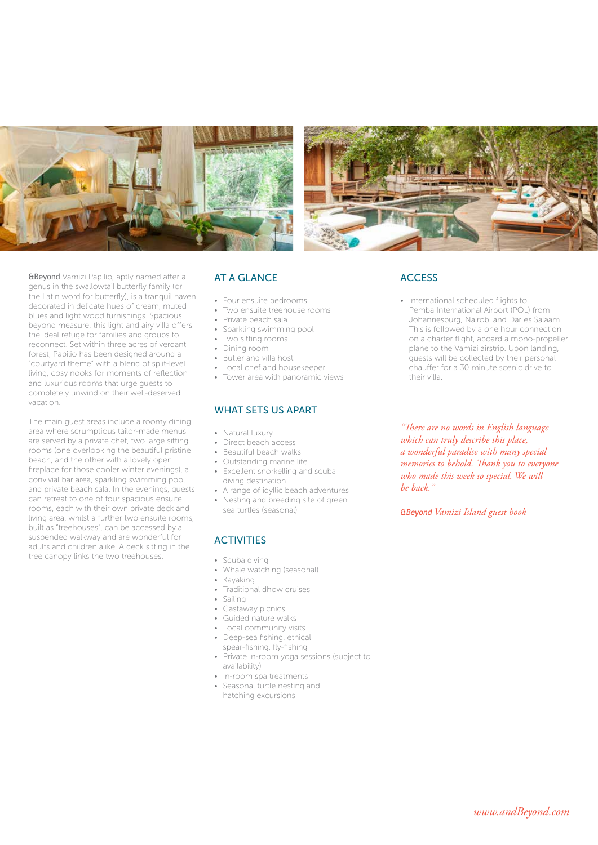



&Beyond Vamizi Papilio, aptly named after a genus in the swallowtail butterfly family (or the Latin word for butterfly), is a tranquil haven decorated in delicate hues of cream, muted blues and light wood furnishings. Spacious beyond measure, this light and airy villa offers the ideal refuge for families and groups to reconnect. Set within three acres of verdant forest, Papilio has been designed around a "courtyard theme" with a blend of split-level living, cosy nooks for moments of reflection and luxurious rooms that urge guests to completely unwind on their well-deserved vacation.

The main guest areas include a roomy dining area where scrumptious tailor-made menus are served by a private chef, two large sitting rooms (one overlooking the beautiful pristine beach, and the other with a lovely open fireplace for those cooler winter evenings), a convivial bar area, sparkling swimming pool and private beach sala. In the evenings, guests can retreat to one of four spacious ensuite rooms, each with their own private deck and living area, whilst a further two ensuite rooms, built as "treehouses", can be accessed by a suspended walkway and are wonderful for adults and children alike. A deck sitting in the tree canopy links the two treehouses.

#### AT A GLANCE

- Four ensuite bedrooms
- Two ensuite treehouse rooms
- Private beach sala
- Sparkling swimming pool
- Two sitting rooms
- Dining room
- Butler and villa host
- Local chef and housekeeper
- Tower area with panoramic views

#### WHAT SETS US APART

- Natural luxury
- Direct beach access
- Beautiful beach walks
- Outstanding marine life
- Excellent snorkelling and scuba diving destination
- A range of idyllic beach adventures
- Nesting and breeding site of green sea turtles (seasonal)

## **ACTIVITIES**

- Scuba diving
- Whale watching (seasonal)
- Kayaking
- Traditional dhow cruises
- Sailing
- Castaway picnics
- Guided nature walks
- Local community visits
- Deep-sea fishing, ethical
- spear-fishing, fly-fishing
- Private in-room yoga sessions (subject to availability)
- In-room spa treatments
- Seasonal turtle nesting and hatching excursions

#### **ACCESS**

• International scheduled flights to Pemba International Airport (POL) from Johannesburg, Nairobi and Dar es Salaam. This is followed by a one hour connection on a charter flight, aboard a mono-propeller plane to the Vamizi airstrip. Upon landing, guests will be collected by their personal chauffer for a 30 minute scenic drive to their villa.

*"There are no words in English language which can truly describe this place, a wonderful paradise with many special memories to behold. Thank you to everyone who made this week so special. We will be back."*

*&Beyond Vamizi Island guest book*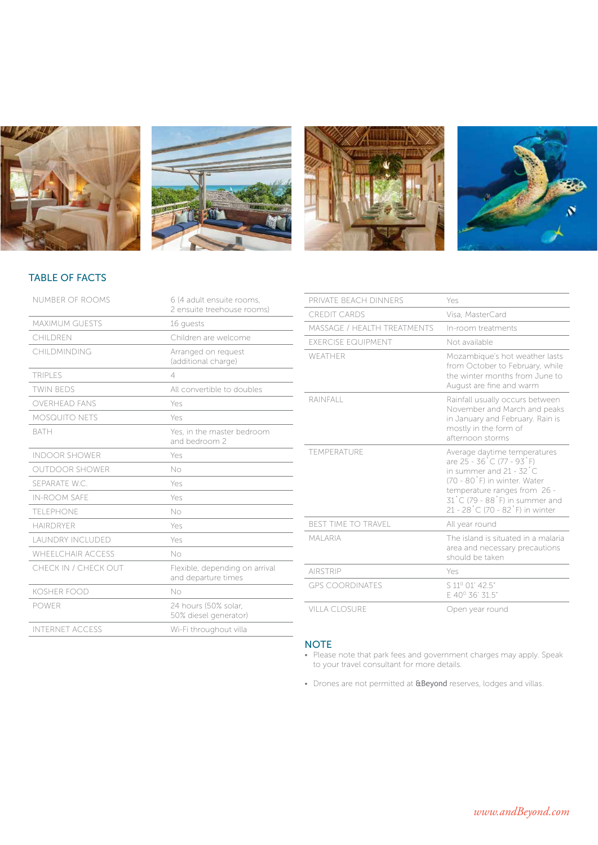







## TABLE OF FACTS

| <b>MAXIMUM GUESTS</b><br>16 quests<br>Children are welcome<br>CHII DREN<br>CHII DMINDING<br>Arranged on request<br>(additional charge)<br><b>TRIPLES</b><br>$\overline{4}$<br><b>TWIN BEDS</b><br>All convertible to doubles<br><b>OVERHEAD FANS</b><br>Yes<br><b>MOSQUITO NETS</b><br>Yes<br><b>BATH</b><br>Yes, in the master bedroom<br>and bedroom 2<br><b>INDOOR SHOWFR</b><br>Yes<br><b>OUTDOOR SHOWER</b><br>No<br>SEPARATE W.C.<br>Yes<br><b>IN-ROOM SAFE</b><br>Yes<br>TFI FPHONE<br>No<br><b>HAIRDRYFR</b><br>Yes<br><b>LAUNDRY INCLUDED</b><br>Yes<br><b>WHEELCHAIR ACCESS</b><br>No<br>CHECK IN / CHECK OUT<br>Flexible, depending on arrival<br>and departure times<br><b>KOSHER FOOD</b><br>N <sub>O</sub><br><b>POWER</b><br>24 hours (50% solar.<br>50% diesel generator)<br><b>INTERNET ACCESS</b><br>Wi-Fi throughout villa | NUMBER OF ROOMS | 6 (4 adult ensuite rooms.<br>2 ensuite treehouse rooms) |
|-----------------------------------------------------------------------------------------------------------------------------------------------------------------------------------------------------------------------------------------------------------------------------------------------------------------------------------------------------------------------------------------------------------------------------------------------------------------------------------------------------------------------------------------------------------------------------------------------------------------------------------------------------------------------------------------------------------------------------------------------------------------------------------------------------------------------------------------------|-----------------|---------------------------------------------------------|
|                                                                                                                                                                                                                                                                                                                                                                                                                                                                                                                                                                                                                                                                                                                                                                                                                                               |                 |                                                         |
|                                                                                                                                                                                                                                                                                                                                                                                                                                                                                                                                                                                                                                                                                                                                                                                                                                               |                 |                                                         |
|                                                                                                                                                                                                                                                                                                                                                                                                                                                                                                                                                                                                                                                                                                                                                                                                                                               |                 |                                                         |
|                                                                                                                                                                                                                                                                                                                                                                                                                                                                                                                                                                                                                                                                                                                                                                                                                                               |                 |                                                         |
|                                                                                                                                                                                                                                                                                                                                                                                                                                                                                                                                                                                                                                                                                                                                                                                                                                               |                 |                                                         |
|                                                                                                                                                                                                                                                                                                                                                                                                                                                                                                                                                                                                                                                                                                                                                                                                                                               |                 |                                                         |
|                                                                                                                                                                                                                                                                                                                                                                                                                                                                                                                                                                                                                                                                                                                                                                                                                                               |                 |                                                         |
|                                                                                                                                                                                                                                                                                                                                                                                                                                                                                                                                                                                                                                                                                                                                                                                                                                               |                 |                                                         |
|                                                                                                                                                                                                                                                                                                                                                                                                                                                                                                                                                                                                                                                                                                                                                                                                                                               |                 |                                                         |
|                                                                                                                                                                                                                                                                                                                                                                                                                                                                                                                                                                                                                                                                                                                                                                                                                                               |                 |                                                         |
|                                                                                                                                                                                                                                                                                                                                                                                                                                                                                                                                                                                                                                                                                                                                                                                                                                               |                 |                                                         |
|                                                                                                                                                                                                                                                                                                                                                                                                                                                                                                                                                                                                                                                                                                                                                                                                                                               |                 |                                                         |
|                                                                                                                                                                                                                                                                                                                                                                                                                                                                                                                                                                                                                                                                                                                                                                                                                                               |                 |                                                         |
|                                                                                                                                                                                                                                                                                                                                                                                                                                                                                                                                                                                                                                                                                                                                                                                                                                               |                 |                                                         |
|                                                                                                                                                                                                                                                                                                                                                                                                                                                                                                                                                                                                                                                                                                                                                                                                                                               |                 |                                                         |
|                                                                                                                                                                                                                                                                                                                                                                                                                                                                                                                                                                                                                                                                                                                                                                                                                                               |                 |                                                         |
|                                                                                                                                                                                                                                                                                                                                                                                                                                                                                                                                                                                                                                                                                                                                                                                                                                               |                 |                                                         |
|                                                                                                                                                                                                                                                                                                                                                                                                                                                                                                                                                                                                                                                                                                                                                                                                                                               |                 |                                                         |
|                                                                                                                                                                                                                                                                                                                                                                                                                                                                                                                                                                                                                                                                                                                                                                                                                                               |                 |                                                         |
|                                                                                                                                                                                                                                                                                                                                                                                                                                                                                                                                                                                                                                                                                                                                                                                                                                               |                 |                                                         |

| PRIVATE BEACH DINNERS            | Yes                                                                                                                                                                                                                                        |
|----------------------------------|--------------------------------------------------------------------------------------------------------------------------------------------------------------------------------------------------------------------------------------------|
| CREDIT CARDS                     | Visa, MasterCard                                                                                                                                                                                                                           |
| MASSAGE / HEALTH TREATMENTS      | In-room treatments                                                                                                                                                                                                                         |
| <b><i>EXERCISE EQUIPMENT</i></b> | Not available                                                                                                                                                                                                                              |
| WFATHER                          | Mozambique's hot weather lasts<br>from October to February, while<br>the winter months from June to<br>August are fine and warm                                                                                                            |
| RAINFALL                         | Rainfall usually occurs between<br>November and March and peaks<br>in January and February. Rain is<br>mostly in the form of<br>afternoon storms                                                                                           |
| TEMPERATURE                      | Average daytime temperatures<br>are 25 - 36 °C (77 - 93 °F)<br>in summer and 21 - 32 <sup>°</sup> C<br>(70 - 80°F) in winter. Water<br>temperature ranges from 26 -<br>31°C (79 - 88°F) in summer and<br>21 - 28 °C (70 - 82 °F) in winter |
| <b>BEST TIME TO TRAVEL</b>       | All year round                                                                                                                                                                                                                             |
| <b>MAI ARIA</b>                  | The island is situated in a malaria<br>area and necessary precautions<br>should be taken                                                                                                                                                   |
| <b>AIRSTRIP</b>                  | Yes                                                                                                                                                                                                                                        |
| <b>GPS COORDINATES</b>           | S 11º 01' 42.5"<br>F 40° 36' 31.5"                                                                                                                                                                                                         |
| VILLA CLOSURE                    | Open year round                                                                                                                                                                                                                            |

#### **NOTE**

- Please note that park fees and government charges may apply. Speak to your travel consultant for more details.
- Drones are not permitted at **&Beyond** reserves, lodges and villas.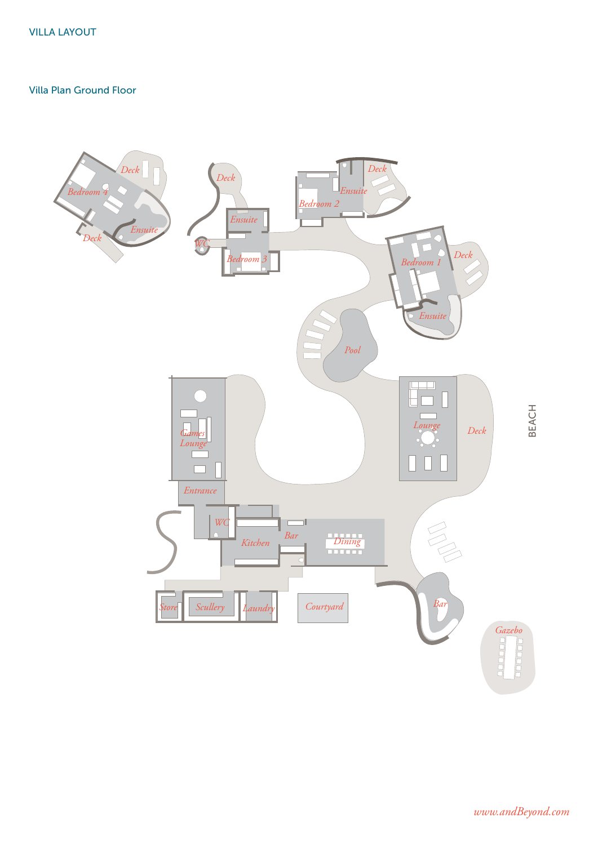### Villa Plan Ground Floor